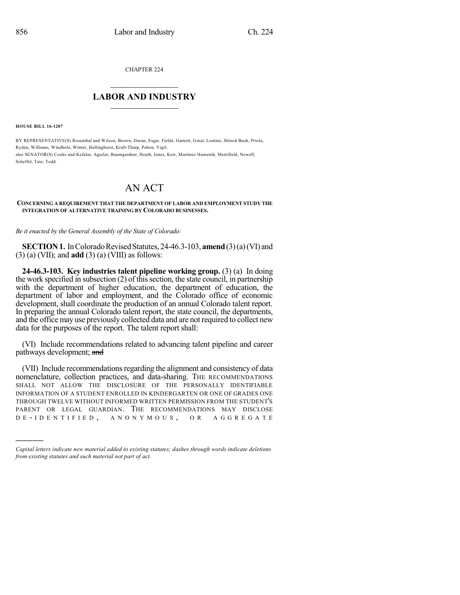CHAPTER 224

## $\mathcal{L}_\text{max}$  . The set of the set of the set of the set of the set of the set of the set of the set of the set of the set of the set of the set of the set of the set of the set of the set of the set of the set of the set **LABOR AND INDUSTRY**  $\frac{1}{\sqrt{2}}$  ,  $\frac{1}{\sqrt{2}}$  ,  $\frac{1}{\sqrt{2}}$  ,  $\frac{1}{\sqrt{2}}$  ,  $\frac{1}{\sqrt{2}}$  ,  $\frac{1}{\sqrt{2}}$

**HOUSE BILL 16-1287**

)))))

BY REPRESENTATIVE(S) Rosenthal and Wilson, Brown, Duran, Esgar, Fields, Garnett, Ginal, Lontine, Mitsch Bush, Priola, Ryden, Williams, Windholz, Winter, Hullinghorst, Kraft-Tharp, Pabon, Vigil; also SENATOR(S) Cooke and Kefalas, Aguilar, Baumgardner, Heath, Jones, Kerr, Martinez Humenik, Merrifield, Newell, Scheffel, Tate, Todd.

## AN ACT

## **CONCERNING A REQUIREMENT THAT THE DEPARTMENT OF LABOR AND EMPLOYMENT STUDY THE INTEGRATION OF ALTERNATIVE TRAINING BY COLORADO BUSINESSES.**

*Be it enacted by the General Assembly of the State of Colorado:*

**SECTION 1.** In Colorado Revised Statutes, 24-46.3-103, **amend** (3)(a)(VI) and (3) (a) (VII); and **add** (3) (a) (VIII) as follows:

**24-46.3-103. Key industries talent pipeline working group.** (3) (a) In doing the work specified in subsection  $(2)$  of this section, the state council, in partnership with the department of higher education, the department of education, the department of labor and employment, and the Colorado office of economic development, shall coordinate the production of an annual Colorado talent report. In preparing the annual Colorado talent report, the state council, the departments, and the office may use previously collected data and are not required to collect new data for the purposes of the report. The talent report shall:

(VI) Include recommendations related to advancing talent pipeline and career pathways development; and

(VII) Include recommendations regarding the alignment and consistency of data nomenclature, collection practices, and data-sharing. THE RECOMMENDATIONS SHALL NOT ALLOW THE DISCLOSURE OF THE PERSONALLY IDENTIFIABLE INFORMATION OF A STUDENT ENROLLED IN KINDERGARTEN OR ONE OF GRADES ONE THROUGH TWELVE WITHOUT INFORMED WRITTEN PERMISSION FROM THE STUDENT'S PARENT OR LEGAL GUARDIAN. THE RECOMMENDATIONS MAY DISCLOSE D E - I D E N T I F I E D , A N O N Y M O U S , O R A G G R E G A T E

*Capital letters indicate new material added to existing statutes; dashes through words indicate deletions from existing statutes and such material not part of act.*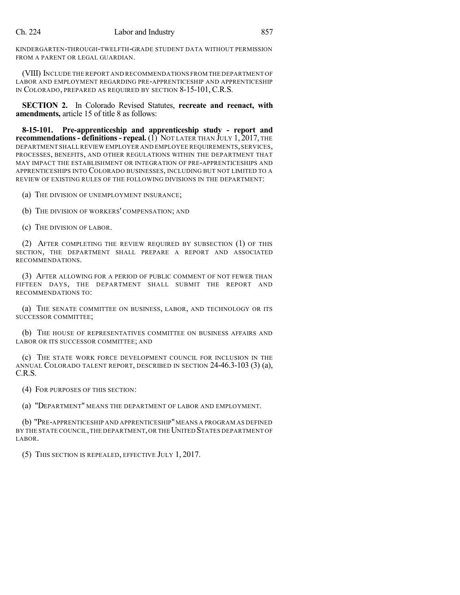## Ch. 224 Labor and Industry 857

KINDERGARTEN-THROUGH-TWELFTH-GRADE STUDENT DATA WITHOUT PERMISSION FROM A PARENT OR LEGAL GUARDIAN.

(VIII) INCLUDE THE REPORT AND RECOMMENDATIONS FROM THE DEPARTMENT OF LABOR AND EMPLOYMENT REGARDING PRE-APPRENTICESHIP AND APPRENTICESHIP IN COLORADO, PREPARED AS REQUIRED BY SECTION 8-15-101, C.R.S.

**SECTION 2.** In Colorado Revised Statutes, **recreate and reenact, with amendments,** article 15 of title 8 as follows:

**8-15-101. Pre-apprenticeship and apprenticeship study - report and recommendations- definitions- repeal.** (1) NOT LATER THAN JULY 1, 2017, THE DEPARTMENT SHALL REVIEW EMPLOYER AND EMPLOYEE REQUIREMENTS, SERVICES, PROCESSES, BENEFITS, AND OTHER REGULATIONS WITHIN THE DEPARTMENT THAT MAY IMPACT THE ESTABLISHMENT OR INTEGRATION OF PRE-APPRENTICESHIPS AND APPRENTICESHIPS INTO COLORADO BUSINESSES, INCLUDING BUT NOT LIMITED TO A REVIEW OF EXISTING RULES OF THE FOLLOWING DIVISIONS IN THE DEPARTMENT:

(a) THE DIVISION OF UNEMPLOYMENT INSURANCE;

(b) THE DIVISION OF WORKERS' COMPENSATION; AND

(c) THE DIVISION OF LABOR.

(2) AFTER COMPLETING THE REVIEW REQUIRED BY SUBSECTION (1) OF THIS SECTION, THE DEPARTMENT SHALL PREPARE A REPORT AND ASSOCIATED RECOMMENDATIONS.

(3) AFTER ALLOWING FOR A PERIOD OF PUBLIC COMMENT OF NOT FEWER THAN FIFTEEN DAYS, THE DEPARTMENT SHALL SUBMIT THE REPORT AND RECOMMENDATIONS TO:

(a) THE SENATE COMMITTEE ON BUSINESS, LABOR, AND TECHNOLOGY OR ITS SUCCESSOR COMMITTEE;

(b) THE HOUSE OF REPRESENTATIVES COMMITTEE ON BUSINESS AFFAIRS AND LABOR OR ITS SUCCESSOR COMMITTEE; AND

(c) THE STATE WORK FORCE DEVELOPMENT COUNCIL FOR INCLUSION IN THE ANNUAL COLORADO TALENT REPORT, DESCRIBED IN SECTION 24-46.3-103 (3) (a), C.R.S.

(4) FOR PURPOSES OF THIS SECTION:

(a) "DEPARTMENT" MEANS THE DEPARTMENT OF LABOR AND EMPLOYMENT.

(b) "PRE-APPRENTICESHIP AND APPRENTICESHIP"MEANS A PROGRAM AS DEFINED BY THE STATE COUNCIL, THE DEPARTMENT, OR THE UNITED STATES DEPARTMENT OF LABOR.

(5) THIS SECTION IS REPEALED, EFFECTIVE JULY 1, 2017.